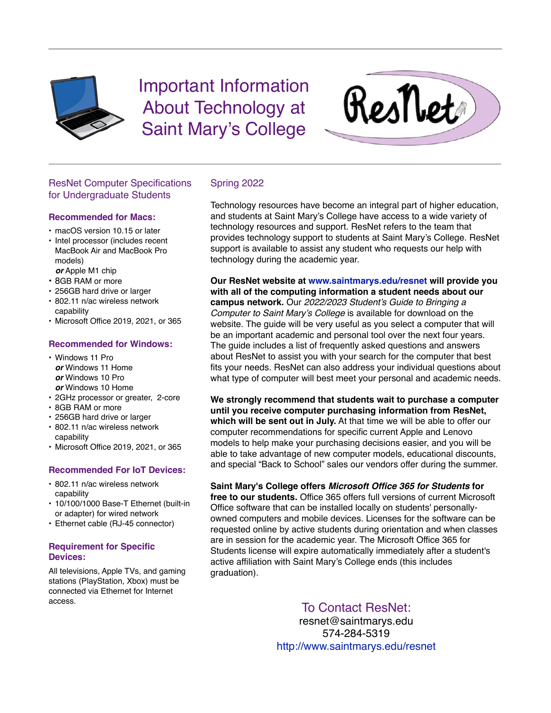

Important Information About Technology at Saint Mary's College



# ResNet Computer Specifications for Undergraduate Students

### **Recommended for Macs:**

- macOS version 10.15 or later
- Intel processor (includes recent MacBook Air and MacBook Pro models) *or* Apple M1 chip
- 8GB RAM or more
- 256GB hard drive or larger
- 802.11 n/ac wireless network capability
- Microsoft Office 2019, 2021, or 365

## **Recommended for Windows:**

- Windows 11 Pro *or* Windows 11 Home *or* Windows 10 Pro *or* Windows 10 Home
- 2GHz processor or greater, 2-core
- 8GB RAM or more
- 256GB hard drive or larger
- 802.11 n/ac wireless network capability
- Microsoft Office 2019, 2021, or 365

## **Recommended For IoT Devices:**

- 802.11 n/ac wireless network capability
- 10/100/1000 Base-T Ethernet (built-in or adapter) for wired network
- Ethernet cable (RJ-45 connector)

### **Requirement for Specific Devices:**

All televisions, Apple TVs, and gaming stations (PlayStation, Xbox) must be connected via Ethernet for Internet access.

## Spring 2022

Technology resources have become an integral part of higher education, and students at Saint Mary's College have access to a wide variety of technology resources and support. ResNet refers to the team that provides technology support to students at Saint Mary's College. ResNet support is available to assist any student who requests our help with technology during the academic year.

**Our ResNet website at [www.saintmarys.edu/resnet](http://www.saintmarys.edu/resnet) will provide you with all of the computing information a student needs about our campus network.** Our *2022/2023 Student's Guide to Bringing a Computer to Saint Mary's College* is available for download on the website. The guide will be very useful as you select a computer that will be an important academic and personal tool over the next four years. The guide includes a list of frequently asked questions and answers about ResNet to assist you with your search for the computer that best fits your needs. ResNet can also address your individual questions about what type of computer will best meet your personal and academic needs.

**We strongly recommend that students wait to purchase a computer until you receive computer purchasing information from ResNet, which will be sent out in July.** At that time we will be able to offer our computer recommendations for specific current Apple and Lenovo models to help make your purchasing decisions easier, and you will be able to take advantage of new computer models, educational discounts, and special "Back to School" sales our vendors offer during the summer.

**Saint Mary's College offers** *Microsoft Office 365 for Students* **for** 

**free to our students.** Office 365 offers full versions of current Microsoft Office software that can be installed locally on students' personallyowned computers and mobile devices. Licenses for the software can be requested online by active students during orientation and when classes are in session for the academic year. The Microsoft Office 365 for Students license will expire automatically immediately after a student's active affiliation with Saint Mary's College ends (this includes graduation).

To Contact ResNet:

resnet@saintmarys.edu 574-284-5319 <http://www.saintmarys.edu/resnet>